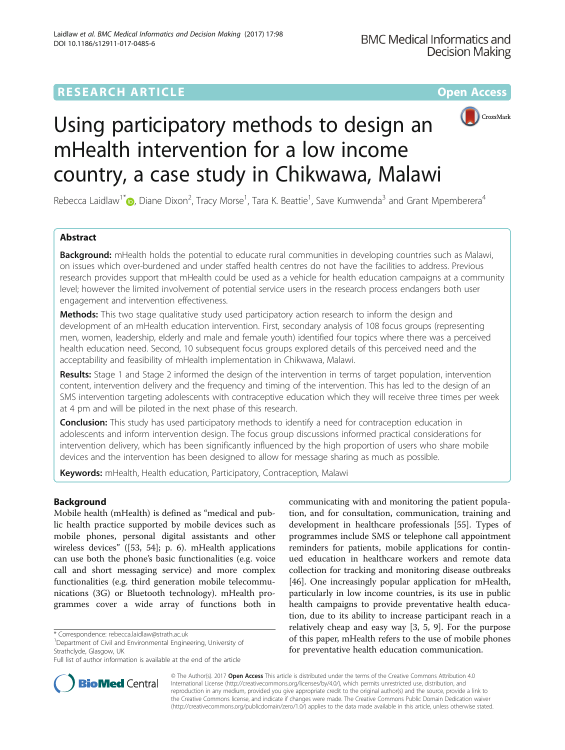# **RESEARCH ARTICLE Example 2014 12:30 The Contract of Contract ACCESS**



# Using participatory methods to design an mHealth intervention for a low income country, a case study in Chikwawa, Malawi

Rebecca Laidlaw<sup>1\*</sup> $\odot$ [,](http://orcid.org/0000-0001-5132-2374) Diane Dixon<sup>2</sup>, Tracy Morse<sup>1</sup>, Tara K. Beattie<sup>1</sup>, Save Kumwenda<sup>3</sup> and Grant Mpemberera<sup>4</sup>

# Abstract

**Background:** mHealth holds the potential to educate rural communities in developing countries such as Malawi, on issues which over-burdened and under staffed health centres do not have the facilities to address. Previous research provides support that mHealth could be used as a vehicle for health education campaigns at a community level; however the limited involvement of potential service users in the research process endangers both user engagement and intervention effectiveness.

Methods: This two stage qualitative study used participatory action research to inform the design and development of an mHealth education intervention. First, secondary analysis of 108 focus groups (representing men, women, leadership, elderly and male and female youth) identified four topics where there was a perceived health education need. Second, 10 subsequent focus groups explored details of this perceived need and the acceptability and feasibility of mHealth implementation in Chikwawa, Malawi.

Results: Stage 1 and Stage 2 informed the design of the intervention in terms of target population, intervention content, intervention delivery and the frequency and timing of the intervention. This has led to the design of an SMS intervention targeting adolescents with contraceptive education which they will receive three times per week at 4 pm and will be piloted in the next phase of this research.

**Conclusion:** This study has used participatory methods to identify a need for contraception education in adolescents and inform intervention design. The focus group discussions informed practical considerations for intervention delivery, which has been significantly influenced by the high proportion of users who share mobile devices and the intervention has been designed to allow for message sharing as much as possible.

Keywords: mHealth, Health education, Participatory, Contraception, Malawi

# Background

Mobile health (mHealth) is defined as "medical and public health practice supported by mobile devices such as mobile phones, personal digital assistants and other wireless devices" ([[53](#page-11-0), [54](#page-11-0)]; p. 6). mHealth applications can use both the phone's basic functionalities (e.g. voice call and short messaging service) and more complex functionalities (e.g. third generation mobile telecommunications (3G) or Bluetooth technology). mHealth programmes cover a wide array of functions both in

<sup>1</sup>Department of Civil and Environmental Engineering, University of Strathclyde, Glasgow, UK

communicating with and monitoring the patient population, and for consultation, communication, training and development in healthcare professionals [[55\]](#page-11-0). Types of programmes include SMS or telephone call appointment reminders for patients, mobile applications for continued education in healthcare workers and remote data collection for tracking and monitoring disease outbreaks [[46\]](#page-11-0). One increasingly popular application for mHealth, particularly in low income countries, is its use in public health campaigns to provide preventative health education, due to its ability to increase participant reach in a relatively cheap and easy way [\[3](#page-10-0), [5](#page-10-0), [9](#page-10-0)]. For the purpose of this paper, mHealth refers to the use of mobile phones for preventative health education communication.



© The Author(s). 2017 **Open Access** This article is distributed under the terms of the Creative Commons Attribution 4.0 International License [\(http://creativecommons.org/licenses/by/4.0/](http://creativecommons.org/licenses/by/4.0/)), which permits unrestricted use, distribution, and reproduction in any medium, provided you give appropriate credit to the original author(s) and the source, provide a link to the Creative Commons license, and indicate if changes were made. The Creative Commons Public Domain Dedication waiver [\(http://creativecommons.org/publicdomain/zero/1.0/](http://creativecommons.org/publicdomain/zero/1.0/)) applies to the data made available in this article, unless otherwise stated.

<sup>\*</sup> Correspondence: [rebecca.laidlaw@strath.ac.uk](mailto:rebecca.laidlaw@strath.ac.uk) <sup>1</sup>

Full list of author information is available at the end of the article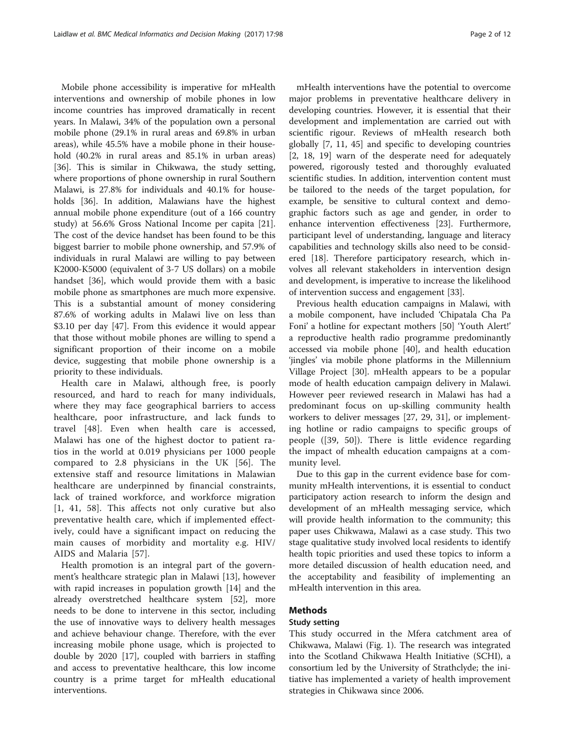Mobile phone accessibility is imperative for mHealth interventions and ownership of mobile phones in low income countries has improved dramatically in recent years. In Malawi, 34% of the population own a personal mobile phone (29.1% in rural areas and 69.8% in urban areas), while 45.5% have a mobile phone in their household (40.2% in rural areas and 85.1% in urban areas) [[36\]](#page-11-0). This is similar in Chikwawa, the study setting, where proportions of phone ownership in rural Southern Malawi, is 27.8% for individuals and 40.1% for households [\[36](#page-11-0)]. In addition, Malawians have the highest annual mobile phone expenditure (out of a 166 country study) at 56.6% Gross National Income per capita [\[21](#page-11-0)]. The cost of the device handset has been found to be this biggest barrier to mobile phone ownership, and 57.9% of individuals in rural Malawi are willing to pay between K2000-K5000 (equivalent of 3-7 US dollars) on a mobile handset [[36](#page-11-0)], which would provide them with a basic mobile phone as smartphones are much more expensive. This is a substantial amount of money considering 87.6% of working adults in Malawi live on less than \$3.10 per day [[47\]](#page-11-0). From this evidence it would appear that those without mobile phones are willing to spend a significant proportion of their income on a mobile device, suggesting that mobile phone ownership is a priority to these individuals.

Health care in Malawi, although free, is poorly resourced, and hard to reach for many individuals, where they may face geographical barriers to access healthcare, poor infrastructure, and lack funds to travel [[48](#page-11-0)]. Even when health care is accessed, Malawi has one of the highest doctor to patient ratios in the world at 0.019 physicians per 1000 people compared to 2.8 physicians in the UK [\[56](#page-11-0)]. The extensive staff and resource limitations in Malawian healthcare are underpinned by financial constraints, lack of trained workforce, and workforce migration [[1](#page-10-0), [41](#page-11-0), [58\]](#page-11-0). This affects not only curative but also preventative health care, which if implemented effectively, could have a significant impact on reducing the main causes of morbidity and mortality e.g. HIV/ AIDS and Malaria [\[57](#page-11-0)].

Health promotion is an integral part of the government's healthcare strategic plan in Malawi [[13\]](#page-10-0), however with rapid increases in population growth [\[14](#page-10-0)] and the already overstretched healthcare system [[52\]](#page-11-0), more needs to be done to intervene in this sector, including the use of innovative ways to delivery health messages and achieve behaviour change. Therefore, with the ever increasing mobile phone usage, which is projected to double by 2020 [[17](#page-10-0)], coupled with barriers in staffing and access to preventative healthcare, this low income country is a prime target for mHealth educational interventions.

mHealth interventions have the potential to overcome major problems in preventative healthcare delivery in developing countries. However, it is essential that their development and implementation are carried out with scientific rigour. Reviews of mHealth research both globally [\[7](#page-10-0), [11](#page-10-0), [45\]](#page-11-0) and specific to developing countries [[2, 18,](#page-10-0) [19\]](#page-11-0) warn of the desperate need for adequately powered, rigorously tested and thoroughly evaluated scientific studies. In addition, intervention content must be tailored to the needs of the target population, for example, be sensitive to cultural context and demographic factors such as age and gender, in order to enhance intervention effectiveness [[23](#page-11-0)]. Furthermore, participant level of understanding, language and literacy capabilities and technology skills also need to be considered [\[18\]](#page-10-0). Therefore participatory research, which involves all relevant stakeholders in intervention design and development, is imperative to increase the likelihood of intervention success and engagement [[33\]](#page-11-0).

Previous health education campaigns in Malawi, with a mobile component, have included 'Chipatala Cha Pa Foni' a hotline for expectant mothers [\[50](#page-11-0)] 'Youth Alert!' a reproductive health radio programme predominantly accessed via mobile phone [[40\]](#page-11-0), and health education 'jingles' via mobile phone platforms in the Millennium Village Project [\[30](#page-11-0)]. mHealth appears to be a popular mode of health education campaign delivery in Malawi. However peer reviewed research in Malawi has had a predominant focus on up-skilling community health workers to deliver messages [\[27](#page-11-0), [29, 31\]](#page-11-0), or implementing hotline or radio campaigns to specific groups of people ([[39, 50](#page-11-0)]). There is little evidence regarding the impact of mhealth education campaigns at a community level.

Due to this gap in the current evidence base for community mHealth interventions, it is essential to conduct participatory action research to inform the design and development of an mHealth messaging service, which will provide health information to the community; this paper uses Chikwawa, Malawi as a case study. This two stage qualitative study involved local residents to identify health topic priorities and used these topics to inform a more detailed discussion of health education need, and the acceptability and feasibility of implementing an mHealth intervention in this area.

# Methods

### Study setting

This study occurred in the Mfera catchment area of Chikwawa, Malawi (Fig. [1](#page-2-0)). The research was integrated into the Scotland Chikwawa Health Initiative (SCHI), a consortium led by the University of Strathclyde; the initiative has implemented a variety of health improvement strategies in Chikwawa since 2006.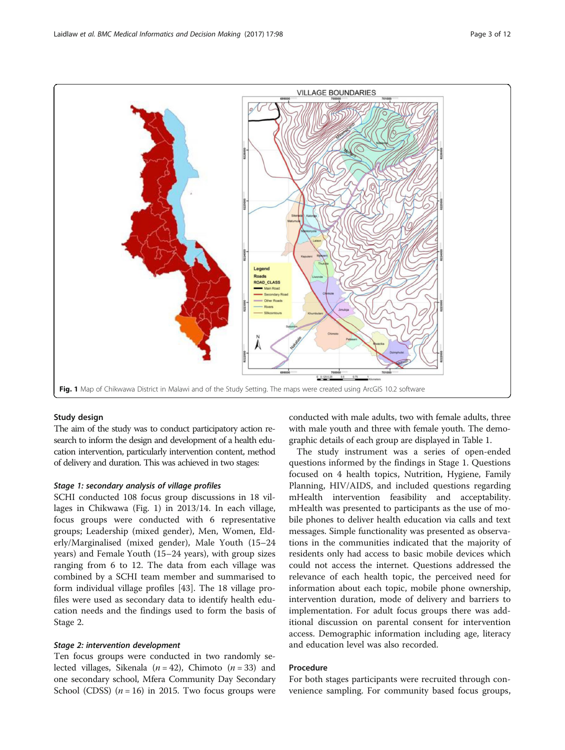<span id="page-2-0"></span>

#### Study design

The aim of the study was to conduct participatory action research to inform the design and development of a health education intervention, particularly intervention content, method of delivery and duration. This was achieved in two stages:

# Stage 1: secondary analysis of village profiles

SCHI conducted 108 focus group discussions in 18 villages in Chikwawa (Fig. 1) in 2013/14. In each village, focus groups were conducted with 6 representative groups; Leadership (mixed gender), Men, Women, Elderly/Marginalised (mixed gender), Male Youth (15–24 years) and Female Youth (15–24 years), with group sizes ranging from 6 to 12. The data from each village was combined by a SCHI team member and summarised to form individual village profiles [[43\]](#page-11-0). The 18 village profiles were used as secondary data to identify health education needs and the findings used to form the basis of Stage 2.

# Stage 2: intervention development

Ten focus groups were conducted in two randomly selected villages, Sikenala ( $n = 42$ ), Chimoto ( $n = 33$ ) and one secondary school, Mfera Community Day Secondary School (CDSS)  $(n = 16)$  in 2015. Two focus groups were

conducted with male adults, two with female adults, three with male youth and three with female youth. The demographic details of each group are displayed in Table [1.](#page-3-0)

The study instrument was a series of open-ended questions informed by the findings in Stage 1. Questions focused on 4 health topics, Nutrition, Hygiene, Family Planning, HIV/AIDS, and included questions regarding mHealth intervention feasibility and acceptability. mHealth was presented to participants as the use of mobile phones to deliver health education via calls and text messages. Simple functionality was presented as observations in the communities indicated that the majority of residents only had access to basic mobile devices which could not access the internet. Questions addressed the relevance of each health topic, the perceived need for information about each topic, mobile phone ownership, intervention duration, mode of delivery and barriers to implementation. For adult focus groups there was additional discussion on parental consent for intervention access. Demographic information including age, literacy and education level was also recorded.

# Procedure

For both stages participants were recruited through convenience sampling. For community based focus groups,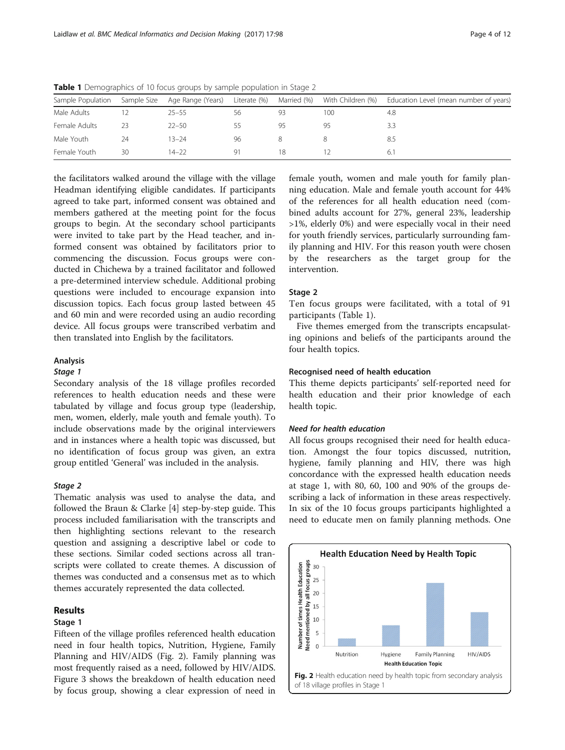| Sample Population | Sample Size | Age Range (Years) | Literate (%) | Married (%) | With Children (%) | Education Level (mean number of years) |
|-------------------|-------------|-------------------|--------------|-------------|-------------------|----------------------------------------|
| Male Adults       |             | $25 - 55$         | 56           | 93          | 100               | 4.8                                    |
| Female Adults     | 23          | $22 - 50$         | 55           | 95          | 95                |                                        |
| Male Youth        | 24          | $13 - 24$         | 96           |             |                   | 8.5                                    |
| Female Youth      | 30          | $14 - 22$         | 91           | 18          |                   |                                        |

<span id="page-3-0"></span>Table 1 Demographics of 10 focus groups by sample population in Stage 2

the facilitators walked around the village with the village Headman identifying eligible candidates. If participants agreed to take part, informed consent was obtained and members gathered at the meeting point for the focus groups to begin. At the secondary school participants were invited to take part by the Head teacher, and informed consent was obtained by facilitators prior to commencing the discussion. Focus groups were conducted in Chichewa by a trained facilitator and followed a pre-determined interview schedule. Additional probing questions were included to encourage expansion into discussion topics. Each focus group lasted between 45 and 60 min and were recorded using an audio recording device. All focus groups were transcribed verbatim and then translated into English by the facilitators.

# Analysis

## Stage 1

Secondary analysis of the 18 village profiles recorded references to health education needs and these were tabulated by village and focus group type (leadership, men, women, elderly, male youth and female youth). To include observations made by the original interviewers and in instances where a health topic was discussed, but no identification of focus group was given, an extra group entitled 'General' was included in the analysis.

# Stage 2

Thematic analysis was used to analyse the data, and followed the Braun & Clarke [\[4\]](#page-10-0) step-by-step guide. This process included familiarisation with the transcripts and then highlighting sections relevant to the research question and assigning a descriptive label or code to these sections. Similar coded sections across all transcripts were collated to create themes. A discussion of themes was conducted and a consensus met as to which themes accurately represented the data collected.

# Results

## Stage 1

Fifteen of the village profiles referenced health education need in four health topics, Nutrition, Hygiene, Family Planning and HIV/AIDS (Fig. 2). Family planning was most frequently raised as a need, followed by HIV/AIDS. Figure [3](#page-4-0) shows the breakdown of health education need by focus group, showing a clear expression of need in female youth, women and male youth for family planning education. Male and female youth account for 44% of the references for all health education need (combined adults account for 27%, general 23%, leadership >1%, elderly 0%) and were especially vocal in their need for youth friendly services, particularly surrounding family planning and HIV. For this reason youth were chosen by the researchers as the target group for the intervention.

#### Stage 2

Ten focus groups were facilitated, with a total of 91 participants (Table 1).

Five themes emerged from the transcripts encapsulating opinions and beliefs of the participants around the four health topics.

#### Recognised need of health education

This theme depicts participants' self-reported need for health education and their prior knowledge of each health topic.

# Need for health education

All focus groups recognised their need for health education. Amongst the four topics discussed, nutrition, hygiene, family planning and HIV, there was high concordance with the expressed health education needs at stage 1, with 80, 60, 100 and 90% of the groups describing a lack of information in these areas respectively. In six of the 10 focus groups participants highlighted a need to educate men on family planning methods. One

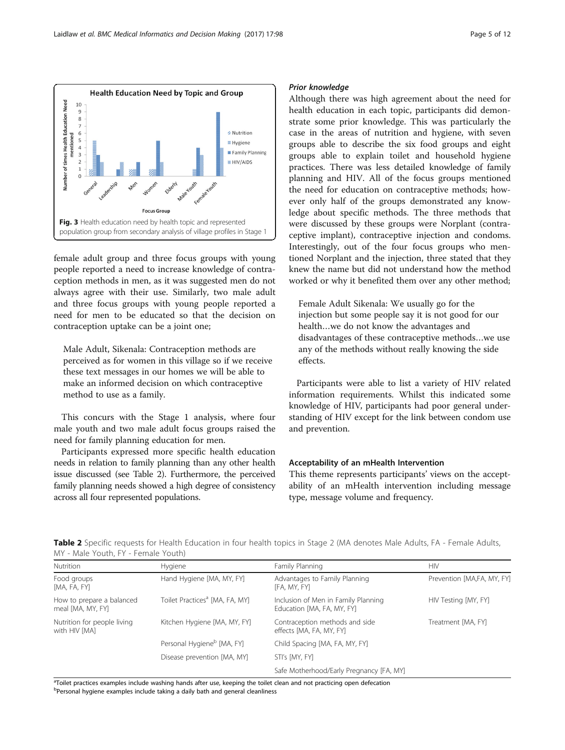female adult group and three focus groups with young people reported a need to increase knowledge of contraception methods in men, as it was suggested men do not always agree with their use. Similarly, two male adult and three focus groups with young people reported a need for men to be educated so that the decision on contraception uptake can be a joint one;

Male Adult, Sikenala: Contraception methods are perceived as for women in this village so if we receive these text messages in our homes we will be able to make an informed decision on which contraceptive method to use as a family.

This concurs with the Stage 1 analysis, where four male youth and two male adult focus groups raised the need for family planning education for men.

Participants expressed more specific health education needs in relation to family planning than any other health issue discussed (see Table 2). Furthermore, the perceived family planning needs showed a high degree of consistency across all four represented populations.

#### Prior knowledge

Although there was high agreement about the need for health education in each topic, participants did demonstrate some prior knowledge. This was particularly the case in the areas of nutrition and hygiene, with seven groups able to describe the six food groups and eight groups able to explain toilet and household hygiene practices. There was less detailed knowledge of family planning and HIV. All of the focus groups mentioned the need for education on contraceptive methods; however only half of the groups demonstrated any knowledge about specific methods. The three methods that were discussed by these groups were Norplant (contraceptive implant), contraceptive injection and condoms. Interestingly, out of the four focus groups who mentioned Norplant and the injection, three stated that they knew the name but did not understand how the method worked or why it benefited them over any other method;

Female Adult Sikenala: We usually go for the injection but some people say it is not good for our health…we do not know the advantages and disadvantages of these contraceptive methods…we use any of the methods without really knowing the side effects.

Participants were able to list a variety of HIV related information requirements. Whilst this indicated some knowledge of HIV, participants had poor general understanding of HIV except for the link between condom use and prevention.

#### Acceptability of an mHealth Intervention

This theme represents participants' views on the acceptability of an mHealth intervention including message type, message volume and frequency.

Table 2 Specific requests for Health Education in four health topics in Stage 2 (MA denotes Male Adults, FA - Female Adults, MY - Male Youth, FY - Female Youth)

| <b>Nutrition</b>                               | <b>Hygiene</b>                             | Family Planning                                                   | <b>HIV</b>                 |  |
|------------------------------------------------|--------------------------------------------|-------------------------------------------------------------------|----------------------------|--|
| Food groups<br>[MA, FA, FY]                    | Hand Hygiene [MA, MY, FY]                  | Advantages to Family Planning<br>[FA, MY, FY]                     | Prevention [MA,FA, MY, FY] |  |
| How to prepare a balanced<br>meal [MA, MY, FY] | Toilet Practices <sup>a</sup> [MA, FA, MY] | Inclusion of Men in Family Planning<br>Education [MA, FA, MY, FY] | HIV Testing [MY, FY]       |  |
| Nutrition for people living<br>with HIV [MA]   | Kitchen Hygiene [MA, MY, FY]               | Contraception methods and side<br>effects [MA, FA, MY, FY]        | Treatment [MA, FY]         |  |
|                                                | Personal Hygiene <sup>b</sup> [MA, FY]     | Child Spacing [MA, FA, MY, FY]                                    |                            |  |
|                                                | Disease prevention [MA, MY]                | STI's [MY, FY]                                                    |                            |  |
|                                                |                                            | Safe Motherhood/Early Pregnancy [FA, MY]                          |                            |  |

<sup>a</sup>Toilet practices examples include washing hands after use, keeping the toilet clean and not practicing open defecation

<sup>b</sup>Personal hygiene examples include taking a daily bath and general cleanliness

<span id="page-4-0"></span>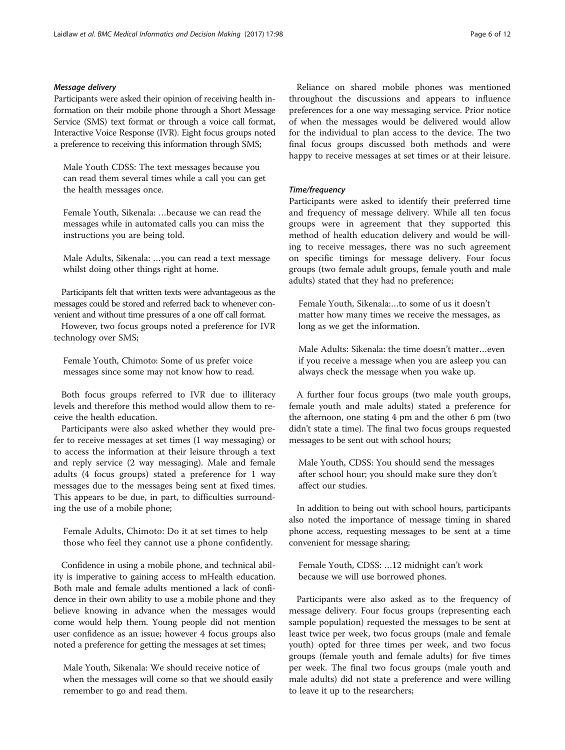# Message delivery

Participants were asked their opinion of receiving health information on their mobile phone through a Short Message Service (SMS) text format or through a voice call format, Interactive Voice Response (IVR). Eight focus groups noted a preference to receiving this information through SMS;

Male Youth CDSS: The text messages because you can read them several times while a call you can get the health messages once.

Female Youth, Sikenala: …because we can read the messages while in automated calls you can miss the instructions you are being told.

Male Adults, Sikenala: …you can read a text message whilst doing other things right at home.

Participants felt that written texts were advantageous as the messages could be stored and referred back to whenever convenient and without time pressures of a one off call format.

However, two focus groups noted a preference for IVR technology over SMS;

Female Youth, Chimoto: Some of us prefer voice messages since some may not know how to read.

Both focus groups referred to IVR due to illiteracy levels and therefore this method would allow them to receive the health education.

Participants were also asked whether they would prefer to receive messages at set times (1 way messaging) or to access the information at their leisure through a text and reply service (2 way messaging). Male and female adults (4 focus groups) stated a preference for 1 way messages due to the messages being sent at fixed times. This appears to be due, in part, to difficulties surrounding the use of a mobile phone;

Female Adults, Chimoto: Do it at set times to help those who feel they cannot use a phone confidently.

Confidence in using a mobile phone, and technical ability is imperative to gaining access to mHealth education. Both male and female adults mentioned a lack of confidence in their own ability to use a mobile phone and they believe knowing in advance when the messages would come would help them. Young people did not mention user confidence as an issue; however 4 focus groups also noted a preference for getting the messages at set times;

Male Youth, Sikenala: We should receive notice of when the messages will come so that we should easily remember to go and read them.

Reliance on shared mobile phones was mentioned throughout the discussions and appears to influence preferences for a one way messaging service. Prior notice of when the messages would be delivered would allow for the individual to plan access to the device. The two final focus groups discussed both methods and were happy to receive messages at set times or at their leisure.

#### Time/frequency

Participants were asked to identify their preferred time and frequency of message delivery. While all ten focus groups were in agreement that they supported this method of health education delivery and would be willing to receive messages, there was no such agreement on specific timings for message delivery. Four focus groups (two female adult groups, female youth and male adults) stated that they had no preference;

Female Youth, Sikenala:…to some of us it doesn't matter how many times we receive the messages, as long as we get the information.

Male Adults: Sikenala: the time doesn't matter…even if you receive a message when you are asleep you can always check the message when you wake up.

A further four focus groups (two male youth groups, female youth and male adults) stated a preference for the afternoon, one stating 4 pm and the other 6 pm (two didn't state a time). The final two focus groups requested messages to be sent out with school hours;

Male Youth, CDSS: You should send the messages after school hour; you should make sure they don't affect our studies.

In addition to being out with school hours, participants also noted the importance of message timing in shared phone access, requesting messages to be sent at a time convenient for message sharing;

Female Youth, CDSS: …12 midnight can't work because we will use borrowed phones.

Participants were also asked as to the frequency of message delivery. Four focus groups (representing each sample population) requested the messages to be sent at least twice per week, two focus groups (male and female youth) opted for three times per week, and two focus groups (female youth and female adults) for five times per week. The final two focus groups (male youth and male adults) did not state a preference and were willing to leave it up to the researchers;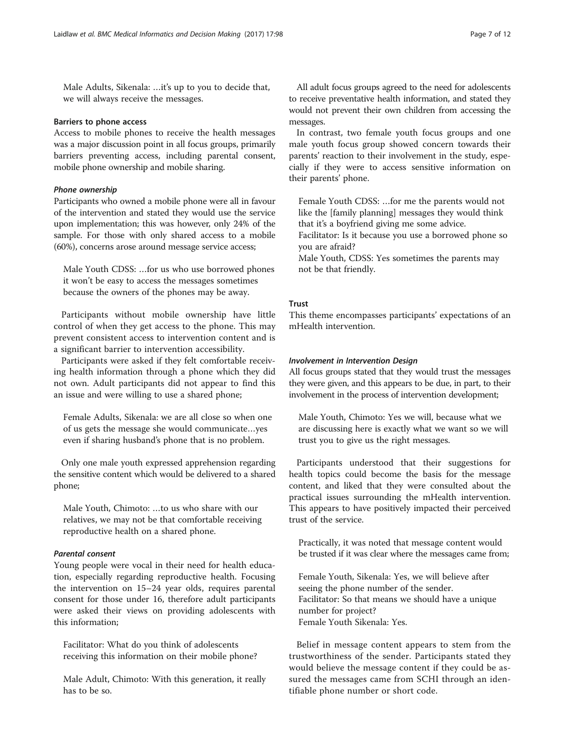Male Adults, Sikenala: …it's up to you to decide that, we will always receive the messages.

#### Barriers to phone access

Access to mobile phones to receive the health messages was a major discussion point in all focus groups, primarily barriers preventing access, including parental consent, mobile phone ownership and mobile sharing.

# Phone ownership

Participants who owned a mobile phone were all in favour of the intervention and stated they would use the service upon implementation; this was however, only 24% of the sample. For those with only shared access to a mobile (60%), concerns arose around message service access;

Male Youth CDSS: …for us who use borrowed phones it won't be easy to access the messages sometimes because the owners of the phones may be away.

Participants without mobile ownership have little control of when they get access to the phone. This may prevent consistent access to intervention content and is a significant barrier to intervention accessibility.

Participants were asked if they felt comfortable receiving health information through a phone which they did not own. Adult participants did not appear to find this an issue and were willing to use a shared phone;

Female Adults, Sikenala: we are all close so when one of us gets the message she would communicate…yes even if sharing husband's phone that is no problem.

Only one male youth expressed apprehension regarding the sensitive content which would be delivered to a shared phone;

Male Youth, Chimoto: …to us who share with our relatives, we may not be that comfortable receiving reproductive health on a shared phone.

# Parental consent

Young people were vocal in their need for health education, especially regarding reproductive health. Focusing the intervention on 15–24 year olds, requires parental consent for those under 16, therefore adult participants were asked their views on providing adolescents with this information;

Facilitator: What do you think of adolescents receiving this information on their mobile phone?

Male Adult, Chimoto: With this generation, it really has to be so.

All adult focus groups agreed to the need for adolescents to receive preventative health information, and stated they would not prevent their own children from accessing the messages.

In contrast, two female youth focus groups and one male youth focus group showed concern towards their parents' reaction to their involvement in the study, especially if they were to access sensitive information on their parents' phone.

Female Youth CDSS: …for me the parents would not like the [family planning] messages they would think that it's a boyfriend giving me some advice. Facilitator: Is it because you use a borrowed phone so

you are afraid?

Male Youth, CDSS: Yes sometimes the parents may not be that friendly.

# **Trust**

This theme encompasses participants' expectations of an mHealth intervention.

### Involvement in Intervention Design

All focus groups stated that they would trust the messages they were given, and this appears to be due, in part, to their involvement in the process of intervention development;

Male Youth, Chimoto: Yes we will, because what we are discussing here is exactly what we want so we will trust you to give us the right messages.

Participants understood that their suggestions for health topics could become the basis for the message content, and liked that they were consulted about the practical issues surrounding the mHealth intervention. This appears to have positively impacted their perceived trust of the service.

Practically, it was noted that message content would be trusted if it was clear where the messages came from;

Female Youth, Sikenala: Yes, we will believe after seeing the phone number of the sender. Facilitator: So that means we should have a unique number for project? Female Youth Sikenala: Yes.

Belief in message content appears to stem from the trustworthiness of the sender. Participants stated they would believe the message content if they could be assured the messages came from SCHI through an identifiable phone number or short code.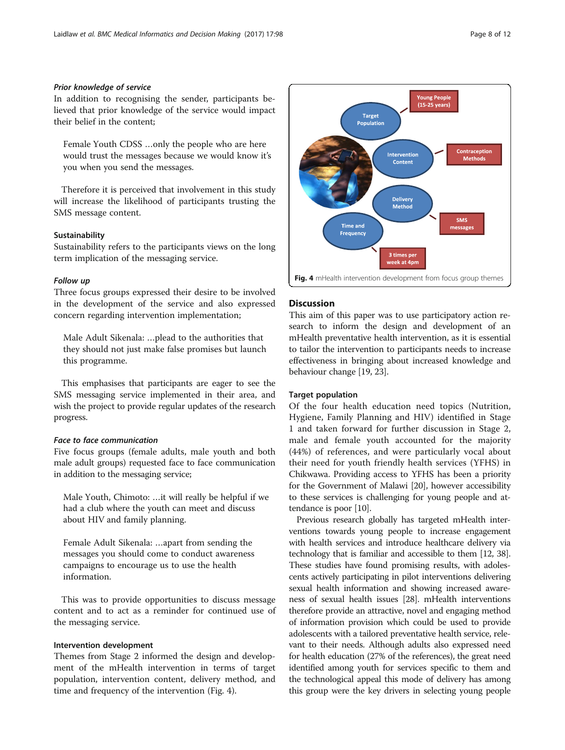## Prior knowledge of service

In addition to recognising the sender, participants believed that prior knowledge of the service would impact their belief in the content;

Female Youth CDSS …only the people who are here would trust the messages because we would know it's you when you send the messages.

Therefore it is perceived that involvement in this study will increase the likelihood of participants trusting the SMS message content.

#### Sustainability

Sustainability refers to the participants views on the long term implication of the messaging service.

#### Follow up

Three focus groups expressed their desire to be involved in the development of the service and also expressed concern regarding intervention implementation;

Male Adult Sikenala: …plead to the authorities that they should not just make false promises but launch this programme.

This emphasises that participants are eager to see the SMS messaging service implemented in their area, and wish the project to provide regular updates of the research progress.

# Face to face communication

Five focus groups (female adults, male youth and both male adult groups) requested face to face communication in addition to the messaging service;

Male Youth, Chimoto: …it will really be helpful if we had a club where the youth can meet and discuss about HIV and family planning.

Female Adult Sikenala: …apart from sending the messages you should come to conduct awareness campaigns to encourage us to use the health information.

This was to provide opportunities to discuss message content and to act as a reminder for continued use of the messaging service.

# Intervention development

Themes from Stage 2 informed the design and development of the mHealth intervention in terms of target population, intervention content, delivery method, and time and frequency of the intervention (Fig. 4).



#### **Discussion**

This aim of this paper was to use participatory action research to inform the design and development of an mHealth preventative health intervention, as it is essential to tailor the intervention to participants needs to increase effectiveness in bringing about increased knowledge and behaviour change [[19](#page-11-0), [23\]](#page-11-0).

#### Target population

Of the four health education need topics (Nutrition, Hygiene, Family Planning and HIV) identified in Stage 1 and taken forward for further discussion in Stage 2, male and female youth accounted for the majority (44%) of references, and were particularly vocal about their need for youth friendly health services (YFHS) in Chikwawa. Providing access to YFHS has been a priority for the Government of Malawi [\[20\]](#page-11-0), however accessibility to these services is challenging for young people and attendance is poor [[10](#page-10-0)].

Previous research globally has targeted mHealth interventions towards young people to increase engagement with health services and introduce healthcare delivery via technology that is familiar and accessible to them [\[12,](#page-10-0) [38](#page-11-0)]. These studies have found promising results, with adolescents actively participating in pilot interventions delivering sexual health information and showing increased awareness of sexual health issues [[28](#page-11-0)]. mHealth interventions therefore provide an attractive, novel and engaging method of information provision which could be used to provide adolescents with a tailored preventative health service, relevant to their needs. Although adults also expressed need for health education (27% of the references), the great need identified among youth for services specific to them and the technological appeal this mode of delivery has among this group were the key drivers in selecting young people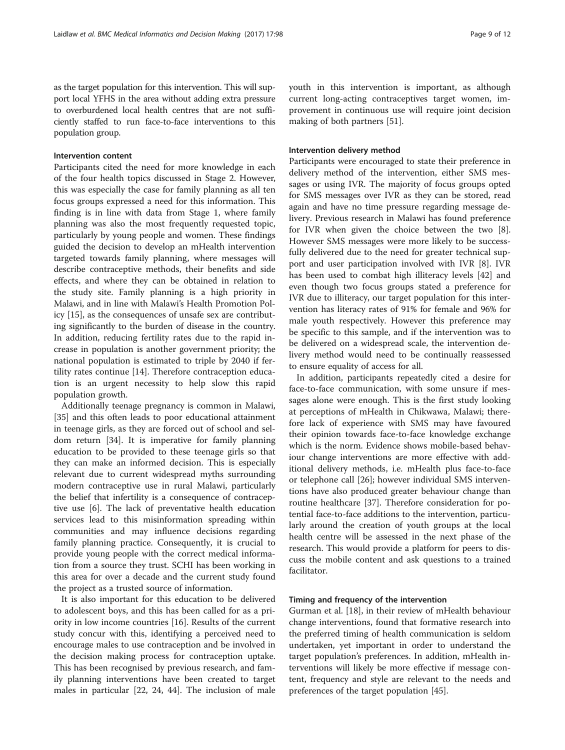as the target population for this intervention. This will support local YFHS in the area without adding extra pressure to overburdened local health centres that are not sufficiently staffed to run face-to-face interventions to this population group.

#### Intervention content

Participants cited the need for more knowledge in each of the four health topics discussed in Stage 2. However, this was especially the case for family planning as all ten focus groups expressed a need for this information. This finding is in line with data from Stage 1, where family planning was also the most frequently requested topic, particularly by young people and women. These findings guided the decision to develop an mHealth intervention targeted towards family planning, where messages will describe contraceptive methods, their benefits and side effects, and where they can be obtained in relation to the study site. Family planning is a high priority in Malawi, and in line with Malawi's Health Promotion Policy [\[15\]](#page-10-0), as the consequences of unsafe sex are contributing significantly to the burden of disease in the country. In addition, reducing fertility rates due to the rapid increase in population is another government priority; the national population is estimated to triple by 2040 if fertility rates continue [\[14](#page-10-0)]. Therefore contraception education is an urgent necessity to help slow this rapid population growth.

Additionally teenage pregnancy is common in Malawi, [[35\]](#page-11-0) and this often leads to poor educational attainment in teenage girls, as they are forced out of school and seldom return [[34\]](#page-11-0). It is imperative for family planning education to be provided to these teenage girls so that they can make an informed decision. This is especially relevant due to current widespread myths surrounding modern contraceptive use in rural Malawi, particularly the belief that infertility is a consequence of contraceptive use [\[6](#page-10-0)]. The lack of preventative health education services lead to this misinformation spreading within communities and may influence decisions regarding family planning practice. Consequently, it is crucial to provide young people with the correct medical information from a source they trust. SCHI has been working in this area for over a decade and the current study found the project as a trusted source of information.

It is also important for this education to be delivered to adolescent boys, and this has been called for as a priority in low income countries [[16\]](#page-10-0). Results of the current study concur with this, identifying a perceived need to encourage males to use contraception and be involved in the decision making process for contraception uptake. This has been recognised by previous research, and family planning interventions have been created to target males in particular [[22, 24](#page-11-0), [44\]](#page-11-0). The inclusion of male youth in this intervention is important, as although current long-acting contraceptives target women, improvement in continuous use will require joint decision making of both partners [[51](#page-11-0)].

#### Intervention delivery method

Participants were encouraged to state their preference in delivery method of the intervention, either SMS messages or using IVR. The majority of focus groups opted for SMS messages over IVR as they can be stored, read again and have no time pressure regarding message delivery. Previous research in Malawi has found preference for IVR when given the choice between the two [\[8](#page-10-0)]. However SMS messages were more likely to be successfully delivered due to the need for greater technical support and user participation involved with IVR [[8\]](#page-10-0). IVR has been used to combat high illiteracy levels [\[42](#page-11-0)] and even though two focus groups stated a preference for IVR due to illiteracy, our target population for this intervention has literacy rates of 91% for female and 96% for male youth respectively. However this preference may be specific to this sample, and if the intervention was to be delivered on a widespread scale, the intervention delivery method would need to be continually reassessed to ensure equality of access for all.

In addition, participants repeatedly cited a desire for face-to-face communication, with some unsure if messages alone were enough. This is the first study looking at perceptions of mHealth in Chikwawa, Malawi; therefore lack of experience with SMS may have favoured their opinion towards face-to-face knowledge exchange which is the norm. Evidence shows mobile-based behaviour change interventions are more effective with additional delivery methods, i.e. mHealth plus face-to-face or telephone call [[26\]](#page-11-0); however individual SMS interventions have also produced greater behaviour change than routine healthcare [\[37\]](#page-11-0). Therefore consideration for potential face-to-face additions to the intervention, particularly around the creation of youth groups at the local health centre will be assessed in the next phase of the research. This would provide a platform for peers to discuss the mobile content and ask questions to a trained facilitator.

# Timing and frequency of the intervention

Gurman et al. [[18\]](#page-10-0), in their review of mHealth behaviour change interventions, found that formative research into the preferred timing of health communication is seldom undertaken, yet important in order to understand the target population's preferences. In addition, mHealth interventions will likely be more effective if message content, frequency and style are relevant to the needs and preferences of the target population [[45](#page-11-0)].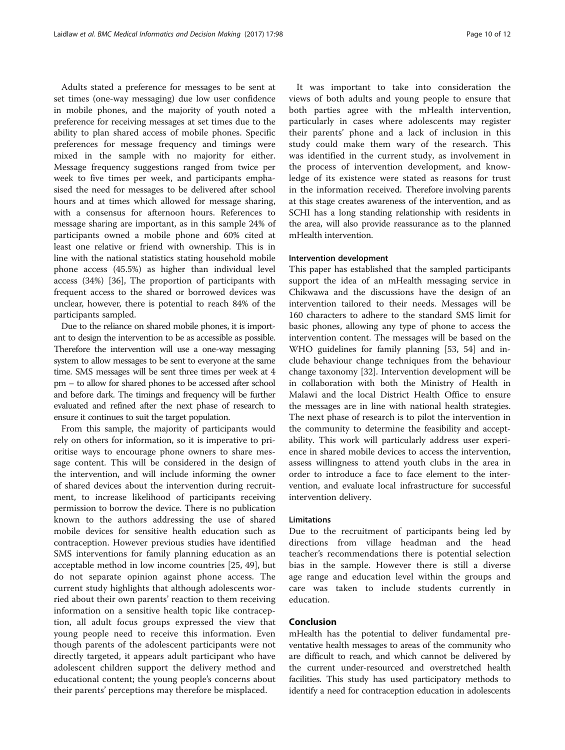Adults stated a preference for messages to be sent at set times (one-way messaging) due low user confidence in mobile phones, and the majority of youth noted a preference for receiving messages at set times due to the ability to plan shared access of mobile phones. Specific preferences for message frequency and timings were mixed in the sample with no majority for either. Message frequency suggestions ranged from twice per week to five times per week, and participants emphasised the need for messages to be delivered after school hours and at times which allowed for message sharing, with a consensus for afternoon hours. References to message sharing are important, as in this sample 24% of participants owned a mobile phone and 60% cited at least one relative or friend with ownership. This is in line with the national statistics stating household mobile phone access (45.5%) as higher than individual level access (34%) [[36](#page-11-0)], The proportion of participants with frequent access to the shared or borrowed devices was unclear, however, there is potential to reach 84% of the participants sampled.

Due to the reliance on shared mobile phones, it is important to design the intervention to be as accessible as possible. Therefore the intervention will use a one-way messaging system to allow messages to be sent to everyone at the same time. SMS messages will be sent three times per week at 4 pm – to allow for shared phones to be accessed after school and before dark. The timings and frequency will be further evaluated and refined after the next phase of research to ensure it continues to suit the target population.

From this sample, the majority of participants would rely on others for information, so it is imperative to prioritise ways to encourage phone owners to share message content. This will be considered in the design of the intervention, and will include informing the owner of shared devices about the intervention during recruitment, to increase likelihood of participants receiving permission to borrow the device. There is no publication known to the authors addressing the use of shared mobile devices for sensitive health education such as contraception. However previous studies have identified SMS interventions for family planning education as an acceptable method in low income countries [\[25](#page-11-0), [49](#page-11-0)], but do not separate opinion against phone access. The current study highlights that although adolescents worried about their own parents' reaction to them receiving information on a sensitive health topic like contraception, all adult focus groups expressed the view that young people need to receive this information. Even though parents of the adolescent participants were not directly targeted, it appears adult participant who have adolescent children support the delivery method and educational content; the young people's concerns about their parents' perceptions may therefore be misplaced.

It was important to take into consideration the views of both adults and young people to ensure that both parties agree with the mHealth intervention, particularly in cases where adolescents may register their parents' phone and a lack of inclusion in this study could make them wary of the research. This was identified in the current study, as involvement in the process of intervention development, and knowledge of its existence were stated as reasons for trust in the information received. Therefore involving parents at this stage creates awareness of the intervention, and as SCHI has a long standing relationship with residents in the area, will also provide reassurance as to the planned mHealth intervention.

## Intervention development

This paper has established that the sampled participants support the idea of an mHealth messaging service in Chikwawa and the discussions have the design of an intervention tailored to their needs. Messages will be 160 characters to adhere to the standard SMS limit for basic phones, allowing any type of phone to access the intervention content. The messages will be based on the WHO guidelines for family planning [[53, 54\]](#page-11-0) and include behaviour change techniques from the behaviour change taxonomy [\[32](#page-11-0)]. Intervention development will be in collaboration with both the Ministry of Health in Malawi and the local District Health Office to ensure the messages are in line with national health strategies. The next phase of research is to pilot the intervention in the community to determine the feasibility and acceptability. This work will particularly address user experience in shared mobile devices to access the intervention, assess willingness to attend youth clubs in the area in order to introduce a face to face element to the intervention, and evaluate local infrastructure for successful intervention delivery.

### Limitations

Due to the recruitment of participants being led by directions from village headman and the head teacher's recommendations there is potential selection bias in the sample. However there is still a diverse age range and education level within the groups and care was taken to include students currently in education.

# Conclusion

mHealth has the potential to deliver fundamental preventative health messages to areas of the community who are difficult to reach, and which cannot be delivered by the current under-resourced and overstretched health facilities. This study has used participatory methods to identify a need for contraception education in adolescents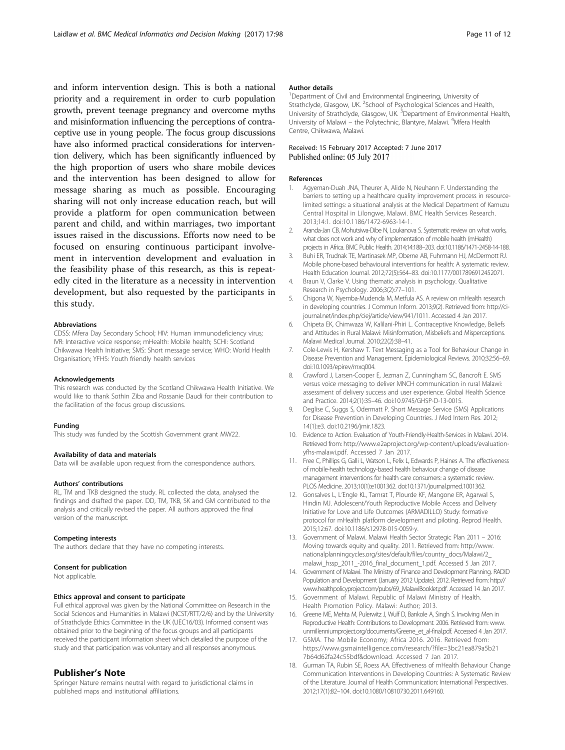<span id="page-10-0"></span>and inform intervention design. This is both a national priority and a requirement in order to curb population growth, prevent teenage pregnancy and overcome myths and misinformation influencing the perceptions of contraceptive use in young people. The focus group discussions have also informed practical considerations for intervention delivery, which has been significantly influenced by the high proportion of users who share mobile devices and the intervention has been designed to allow for message sharing as much as possible. Encouraging sharing will not only increase education reach, but will provide a platform for open communication between parent and child, and within marriages, two important issues raised in the discussions. Efforts now need to be focused on ensuring continuous participant involvement in intervention development and evaluation in the feasibility phase of this research, as this is repeatedly cited in the literature as a necessity in intervention development, but also requested by the participants in this study.

#### Abbreviations

CDSS: Mfera Day Secondary School; HIV: Human immunodeficiency virus; IVR: Interactive voice response; mHealth: Mobile health; SCHI: Scotland Chikwawa Health Initiative; SMS: Short message service; WHO: World Health Organisation; YFHS: Youth friendly health services

#### Acknowledgements

This research was conducted by the Scotland Chikwawa Health Initiative. We would like to thank Sothin Ziba and Rossanie Daudi for their contribution to the facilitation of the focus group discussions.

#### Funding

This study was funded by the Scottish Government grant MW22.

#### Availability of data and materials

Data will be available upon request from the correspondence authors.

#### Authors' contributions

RL, TM and TKB designed the study. RL collected the data, analysed the findings and drafted the paper. DD, TM, TKB, SK and GM contributed to the analysis and critically revised the paper. All authors approved the final version of the manuscript.

#### Competing interests

The authors declare that they have no competing interests.

#### Consent for publication

Not applicable.

#### Ethics approval and consent to participate

Full ethical approval was given by the National Committee on Research in the Social Sciences and Humanities in Malawi (NCST/RTT/2/6) and by the University of Strathclyde Ethics Committee in the UK (UEC16/03). Informed consent was obtained prior to the beginning of the focus groups and all participants received the participant information sheet which detailed the purpose of the study and that participation was voluntary and all responses anonymous.

#### Publisher's Note

Springer Nature remains neutral with regard to jurisdictional claims in published maps and institutional affiliations.

#### Author details

<sup>1</sup>Department of Civil and Environmental Engineering, University of Strathclyde, Glasgow, UK. <sup>2</sup>School of Psychological Sciences and Health, University of Strathclyde, Glasgow, UK.<sup>3</sup> Department of Environmental Health University of Malawi - the Polytechnic, Blantyre, Malawi. <sup>4</sup>Mfera Health Centre, Chikwawa, Malawi.

#### Received: 15 February 2017 Accepted: 7 June 2017 Published online: 05 July 2017

#### References

- 1. Agyeman-Duah JNA, Theurer A, Alide N, Neuhann F. Understanding the barriers to setting up a healthcare quality improvement process in resourcelimited settings: a situational analysis at the Medical Department of Kamuzu Central Hospital in Lilongwe, Malawi. BMC Health Services Research. 2013;14:1. doi:[10.1186/1472-6963-14-1.](http://dx.doi.org/10.1186/1472-6963-14-1)
- 2. Aranda-Jan CB, Mohutsiwa-Dibe N, Loukanova S. Systematic review on what works, what does not work and why of implementation of mobile health (mHealth) projects in Africa. BMC Public Health. 2014;14:188–203. doi[:10.1186/1471-2458-14-188](http://dx.doi.org/10.1186/1471-2458-14-188).
- 3. Buhi ER, Trudnak TE, Martinasek MP, Oberne AB, Fuhrmann HJ, McDermott RJ. Mobile phone-based behavioural interventions for health: A systematic review. Health Education Journal. 2012;72(5):564–83. doi[:10.1177/0017896912452071](http://dx.doi.org/10.1177/0017896912452071).
- 4. Braun V, Clarke V. Using thematic analysis in psychology. Qualitative Research in Psychology. 2006;3(2):77–101.
- 5. Chigona W, Nyemba-Mudenda M, Metfula AS. A review on mHealth research in developing countries. J Commun Inform. 2013;9(2). Retrieved from: [http://ci](http://ci-journal.net/index.php/ciej/article/view/941/1011)[journal.net/index.php/ciej/article/view/941/1011.](http://ci-journal.net/index.php/ciej/article/view/941/1011) Accessed 4 Jan 2017.
- 6. Chipeta EK, Chimwaza W, Kalilani-Phiri L. Contraceptive Knowledge, Beliefs and Attitudes in Rural Malawi: Misinformation, Misbeliefs and Misperceptions. Malawi Medical Journal. 2010;22(2):38–41.
- 7. Cole-Lewis H, Kershaw T. Text Messaging as a Tool for Behaviour Change in Disease Prevention and Management. Epidemiological Reviews. 2010;32:56–69. doi:[10.1093/epirev/mxq004.](http://dx.doi.org/10.1093/epirev/mxq004)
- 8. Crawford J, Larsen-Cooper E, Jezman Z, Cunningham SC, Bancroft E. SMS versus voice messaging to deliver MNCH communication in rural Malawi: assessment of delivery success and user experience. Global Health Science and Practice. 2014;2(1):35–46. doi:[10.9745/GHSP-D-13-0015.](http://dx.doi.org/10.9745/GHSP-D-13-0015)
- 9. Deglise C, Suggs S, Odermatt P. Short Message Service (SMS) Applications for Disease Prevention in Developing Countries. J Med Intern Res. 2012; 14(1):e3. doi[:10.2196/jmir.1823](http://dx.doi.org/10.2196/jmir.1823).
- 10. Evidence to Action. Evaluation of Youth-Friendly-Health-Services in Malawi. 2014. Retrieved from: [http://www.e2aproject.org/wp-content/uploads/evaluation](http://www.e2aproject.org/wp-content/uploads/evaluation-yfhs-malawi.pdf)[yfhs-malawi.pdf](http://www.e2aproject.org/wp-content/uploads/evaluation-yfhs-malawi.pdf). Accessed 7 Jan 2017.
- 11. Free C, Phillips G, Galli L, Watson L, Felix L, Edwards P, Haines A. The effectiveness of mobile-health technology-based health behaviour change of disease management interventions for health care consumers: a systematic review. PLOS Medicine. 2013;10(1):e1001362. doi[:10.1371/journal.pmed.1001362.](http://dx.doi.org/10.1371/journal.pmed.1001362)
- 12. Gonsalves L, L'Engle KL, Tamrat T, Plourde KF, Mangone ER, Agarwal S Hindin MJ. Adolescent/Youth Reproductive Mobile Access and Delivery Initiative for Love and Life Outcomes (ARMADILLO) Study: formative protocol for mHealth platform development and piloting. Reprod Health. 2015;12:67. doi[:10.1186/s12978-015-0059-y](http://dx.doi.org/10.1186/s12978-015-0059-y).
- 13. Government of Malawi. Malawi Health Sector Strategic Plan 2011 2016: Moving towards equity and quality. 2011. Retrieved from: [http://www.](http://www.nationalplanningcycles.org/sites/default/files/country_docs/Malawi/2_malawi_hssp_2011_-2016_final_document_1.pdf) [nationalplanningcycles.org/sites/default/files/country\\_docs/Malawi/2\\_](http://www.nationalplanningcycles.org/sites/default/files/country_docs/Malawi/2_malawi_hssp_2011_-2016_final_document_1.pdf) [malawi\\_hssp\\_2011\\_-2016\\_final\\_document\\_1.pdf](http://www.nationalplanningcycles.org/sites/default/files/country_docs/Malawi/2_malawi_hssp_2011_-2016_final_document_1.pdf). Accessed 5 Jan 2017.
- 14. Government of Malawi. The Ministry of Finance and Development Planning. RADID Population and Development (January 2012 Update). 2012. Retrieved from: [http://](http://www.healthpolicyproject.com/pubs/69_MalawiBooklet.pdf) [www.healthpolicyproject.com/pubs/69\\_MalawiBooklet.pdf.](http://www.healthpolicyproject.com/pubs/69_MalawiBooklet.pdf) Accessed 14 Jan 2017.
- 15. Government of Malawi. Republic of Malawi Ministry of Health. Health Promotion Policy. Malawi: Author; 2013.
- 16. Greene ME, Mehta M, Pulerwitz J, Wulf D, Bankole A, Singh S. Involving Men in Reproductive Health: Contributions to Development. 2006. Retrieved from: [www.](http://www.unmillenniumproject.org/documents/Greene_et_al-final.pdf) [unmillenniumproject.org/documents/Greene\\_et\\_al-final.pdf.](http://www.unmillenniumproject.org/documents/Greene_et_al-final.pdf) Accessed 4 Jan 2017.
- 17. GSMA. The Mobile Economy; Africa 2016. 2016. Retrieved from: [https://www.gsmaintelligence.com/research/?file=3bc21ea879a5b21](https://www.gsmaintelligence.com/research/?file=3bc21ea879a5b217b64d62fa24c55bdf&download) [7b64d62fa24c55bdf&download.](https://www.gsmaintelligence.com/research/?file=3bc21ea879a5b217b64d62fa24c55bdf&download) Accessed 7 Jan 2017.
- 18. Gurman TA, Rubin SE, Roess AA. Effectiveness of mHealth Behaviour Change Communication Interventions in Developing Countries: A Systematic Review of the Literature. Journal of Health Communication: International Perspectives. 2012;17(1):82–104. doi:[10.1080/10810730.2011.649160](http://dx.doi.org/10.1080/10810730.2011.649160).